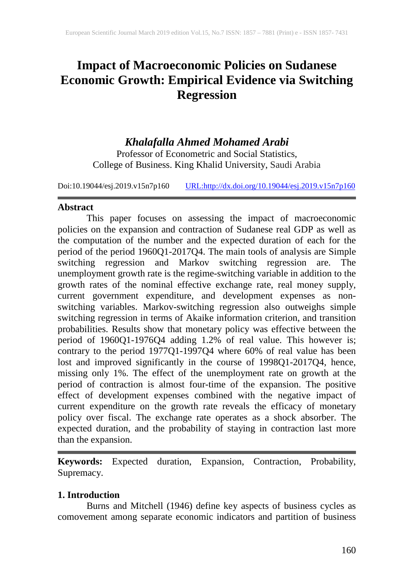# **Impact of Macroeconomic Policies on Sudanese Economic Growth: Empirical Evidence via Switching Regression**

# *Khalafalla Ahmed Mohamed Arabi*

Professor of Econometric and Social Statistics, College of Business. King Khalid University, Saudi Arabia

Doi:10.19044/esj.2019.v15n7p160 [URL:http://dx.doi.org/10.19044/esj.2019.v15n7p160](http://dx.doi.org/10.19044/esj.2019.v15n7p160)

### **Abstract**

This paper focuses on assessing the impact of macroeconomic policies on the expansion and contraction of Sudanese real GDP as well as the computation of the number and the expected duration of each for the period of the period 1960Q1-2017Q4. The main tools of analysis are Simple switching regression and Markov switching regression are. The unemployment growth rate is the regime-switching variable in addition to the growth rates of the nominal effective exchange rate, real money supply, current government expenditure, and development expenses as nonswitching variables. Markov-switching regression also outweighs simple switching regression in terms of Akaike information criterion, and transition probabilities. Results show that monetary policy was effective between the period of 1960Q1-1976Q4 adding 1.2% of real value. This however is; contrary to the period 1977Q1-1997Q4 where 60% of real value has been lost and improved significantly in the course of 1998Q1-2017Q4, hence, missing only 1%. The effect of the unemployment rate on growth at the period of contraction is almost four-time of the expansion. The positive effect of development expenses combined with the negative impact of current expenditure on the growth rate reveals the efficacy of monetary policy over fiscal. The exchange rate operates as a shock absorber. The expected duration, and the probability of staying in contraction last more than the expansion.

**Keywords:** Expected duration, Expansion, Contraction, Probability, Supremacy.

# **1. Introduction**

Burns and Mitchell (1946) define key aspects of business cycles as comovement among separate economic indicators and partition of business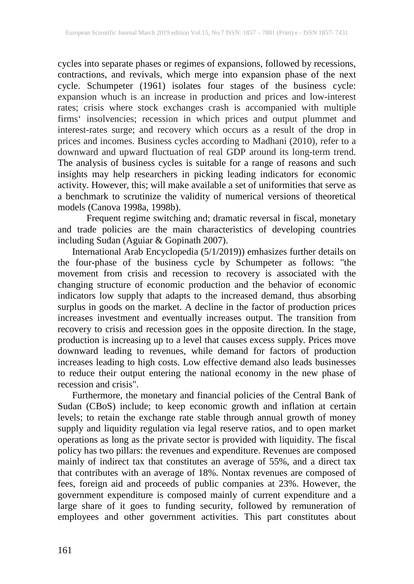cycles into separate phases or regimes of expansions, followed by recessions, contractions, and revivals, which merge into expansion phase of the next cycle. Schumpeter (1961) isolates four stages of the business cycle: expansion whuch is an increase in production and prices and low-interest rates; crisis where stock exchanges crash is accompanied with multiple firms' insolvencies; recession in which prices and output plummet and interest-rates surge; and recovery which occurs as a result of the drop in prices and incomes. Business cycles according to Madhani (2010), refer to a downward and upward fluctuation of real GDP around its long-term trend. The analysis of business cycles is suitable for a range of reasons and such insights may help researchers in picking leading indicators for economic activity. However, this; will make available a set of uniformities that serve as a benchmark to scrutinize the validity of numerical versions of theoretical models (Canova 1998a, 1998b).

Frequent regime switching and; dramatic reversal in fiscal, monetary and trade policies are the main characteristics of developing countries including Sudan (Aguiar & Gopinath 2007).

International Arab Encyclopedia (5/1/2019)) emhasizes further details on the four-phase of the business cycle by Schumpeter as follows: "the movement from crisis and recession to recovery is associated with the changing structure of economic production and the behavior of economic indicators low supply that adapts to the increased demand, thus absorbing surplus in goods on the market. A decline in the factor of production prices increases investment and eventually increases output. The transition from recovery to crisis and recession goes in the opposite direction. In the stage, production is increasing up to a level that causes excess supply. Prices move downward leading to revenues, while demand for factors of production increases leading to high costs. Low effective demand also leads businesses to reduce their output entering the national economy in the new phase of recession and crisis".

Furthermore, the monetary and financial policies of the Central Bank of Sudan (CBoS) include; to keep economic growth and inflation at certain levels; to retain the exchange rate stable through annual growth of money supply and liquidity regulation via legal reserve ratios, and to open market operations as long as the private sector is provided with liquidity. The fiscal policy has two pillars: the revenues and expenditure. Revenues are composed mainly of indirect tax that constitutes an average of 55%, and a direct tax that contributes with an average of 18%. Nontax revenues are composed of fees, foreign aid and proceeds of public companies at 23%. However, the government expenditure is composed mainly of current expenditure and a large share of it goes to funding security, followed by remuneration of employees and other government activities. This part constitutes about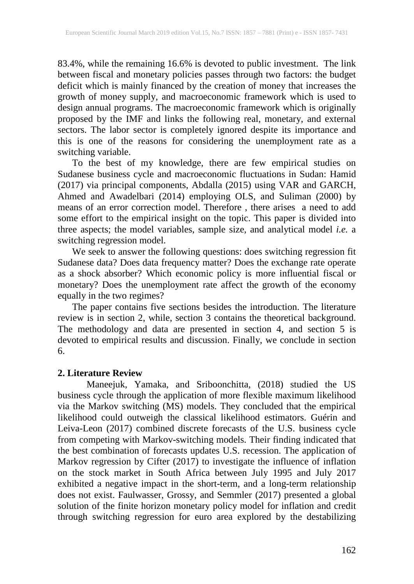83.4%, while the remaining 16.6% is devoted to public investment. The link between fiscal and monetary policies passes through two factors: the budget deficit which is mainly financed by the creation of money that increases the growth of money supply, and macroeconomic framework which is used to design annual programs. The macroeconomic framework which is originally proposed by the IMF and links the following real, monetary, and external sectors. The labor sector is completely ignored despite its importance and this is one of the reasons for considering the unemployment rate as a switching variable.

To the best of my knowledge, there are few empirical studies on Sudanese business cycle and macroeconomic fluctuations in Sudan: Hamid (2017) via principal components, Abdalla (2015) using VAR and GARCH, Ahmed and Awadelbari (2014) employing OLS, and Suliman (2000) by means of an error correction model. Therefore , there arises a need to add some effort to the empirical insight on the topic. This paper is divided into three aspects; the model variables, sample size, and analytical model *i.e.* a switching regression model.

We seek to answer the following questions: does switching regression fit Sudanese data? Does data frequency matter? Does the exchange rate operate as a shock absorber? Which economic policy is more influential fiscal or monetary? Does the unemployment rate affect the growth of the economy equally in the two regimes?

The paper contains five sections besides the introduction. The literature review is in section 2, while, section 3 contains the theoretical background. The methodology and data are presented in section 4, and section 5 is devoted to empirical results and discussion. Finally, we conclude in section 6.

### **2. Literature Review**

Maneejuk, Yamaka, and Sriboonchitta, (2018) studied the US business cycle through the application of more flexible maximum likelihood via the Markov switching (MS) models. They concluded that the empirical likelihood could outweigh the classical likelihood estimators. Guérin and Leiva-Leon (2017) combined discrete forecasts of the U.S. business cycle from competing with Markov-switching models. Their finding indicated that the best combination of forecasts updates U.S. recession. The application of Markov regression by Cifter (2017) to investigate the influence of inflation on the stock market in South Africa between July 1995 and July 2017 exhibited a negative impact in the short-term, and a long-term relationship does not exist. Faulwasser, Grossy, and Semmler (2017) presented a global solution of the finite horizon monetary policy model for inflation and credit through switching regression for euro area explored by the destabilizing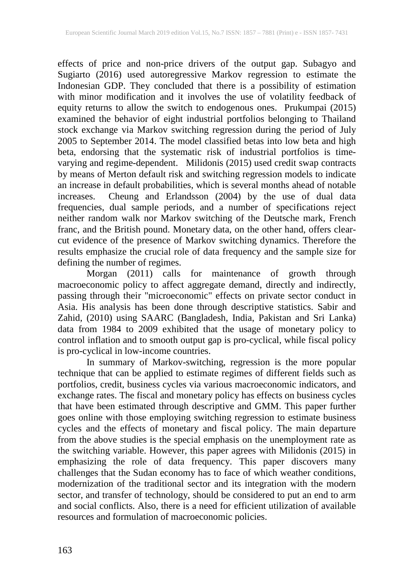effects of price and non-price drivers of the output gap. Subagyo and Sugiarto (2016) used autoregressive Markov regression to estimate the Indonesian GDP. They concluded that there is a possibility of estimation with minor modification and it involves the use of volatility feedback of equity returns to allow the switch to endogenous ones. Prukumpai (2015) examined the behavior of eight industrial portfolios belonging to Thailand stock exchange via Markov switching regression during the period of July 2005 to September 2014. The model classified betas into low beta and high beta, endorsing that the systematic risk of industrial portfolios is timevarying and regime-dependent. Milidonis (2015) used credit swap contracts by means of Merton default risk and switching regression models to indicate an increase in default probabilities, which is several months ahead of notable increases. Cheung and Erlandsson (2004) by the use of dual data frequencies, dual sample periods, and a number of specifications reject neither random walk nor Markov switching of the Deutsche mark, French franc, and the British pound. Monetary data, on the other hand, offers clearcut evidence of the presence of Markov switching dynamics. Therefore the results emphasize the crucial role of data frequency and the sample size for defining the number of regimes.

Morgan (2011) calls for maintenance of growth through macroeconomic policy to affect aggregate demand, directly and indirectly, passing through their "microeconomic" effects on private sector conduct in Asia. His analysis has been done through descriptive statistics. Sabir and Zahid, (2010) using SAARC (Bangladesh, India, Pakistan and Sri Lanka) data from 1984 to 2009 exhibited that the usage of monetary policy to control inflation and to smooth output gap is pro-cyclical, while fiscal policy is pro-cyclical in low-income countries.

In summary of Markov-switching, regression is the more popular technique that can be applied to estimate regimes of different fields such as portfolios, credit, business cycles via various macroeconomic indicators, and exchange rates. The fiscal and monetary policy has effects on business cycles that have been estimated through descriptive and GMM. This paper further goes online with those employing switching regression to estimate business cycles and the effects of monetary and fiscal policy. The main departure from the above studies is the special emphasis on the unemployment rate as the switching variable. However, this paper agrees with Milidonis (2015) in emphasizing the role of data frequency. This paper discovers many challenges that the Sudan economy has to face of which weather conditions, modernization of the traditional sector and its integration with the modern sector, and transfer of technology, should be considered to put an end to arm and social conflicts. Also, there is a need for efficient utilization of available resources and formulation of macroeconomic policies.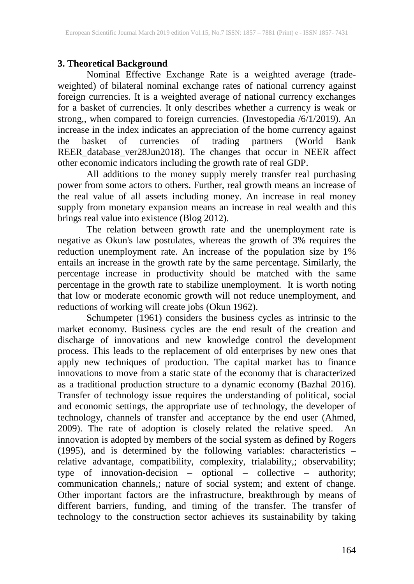# **3. Theoretical Background**

Nominal Effective Exchange Rate is a weighted average (tradeweighted) of bilateral nominal exchange rates of national currency against foreign currencies. It is a weighted average of national currency exchanges for a basket of currencies. It only describes whether a currency is weak or strong,, when compared to foreign currencies. (Investopedia /6/1/2019). An increase in the index indicates an appreciation of the home currency against the basket of currencies of trading partners (World Bank REER\_database\_ver28Jun2018). The changes that occur in NEER affect other economic indicators including the growth rate of real GDP.

All additions to the money supply merely transfer real purchasing power from some actors to others. Further, real growth means an increase of the real value of all assets including money. An increase in real money supply from monetary expansion means an increase in real wealth and this brings real value into existence (Blog 2012).

The relation between growth rate and the unemployment rate is negative as Okun's law postulates, whereas the growth of 3% requires the reduction unemployment rate. An increase of the population size by 1% entails an increase in the growth rate by the same percentage. Similarly, the percentage increase in productivity should be matched with the same percentage in the growth rate to stabilize unemployment. It is worth noting that low or moderate economic growth will not reduce unemployment, and reductions of working will create jobs (Okun 1962).

Schumpeter (1961) considers the business cycles as intrinsic to the market economy. Business cycles are the end result of the creation and discharge of innovations and new knowledge control the development process. This leads to the replacement of old enterprises by new ones that apply new techniques of production. The capital market has to finance innovations to move from a static state of the economy that is characterized as a traditional production structure to a dynamic economy (Bazhal 2016). Transfer of technology issue requires the understanding of political, social and economic settings, the appropriate use of technology, the developer of technology, channels of transfer and acceptance by the end user (Ahmed, 2009). The rate of adoption is closely related the relative speed. An innovation is adopted by members of the social system as defined by Rogers (1995), and is determined by the following variables: characteristics – relative advantage, compatibility, complexity, trialability,; observability; type of innovation-decision – optional – collective – authority; communication channels,; nature of social system; and extent of change. Other important factors are the infrastructure, breakthrough by means of different barriers, funding, and timing of the transfer. The transfer of technology to the construction sector achieves its sustainability by taking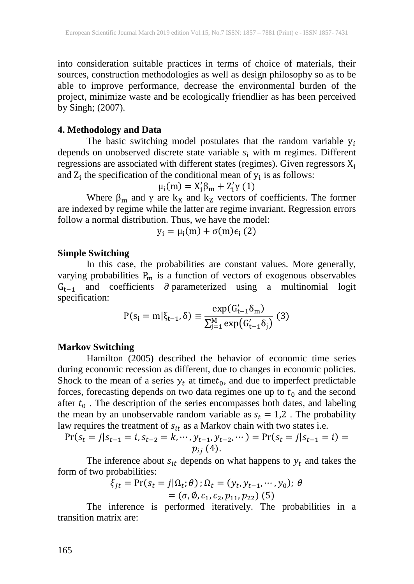into consideration suitable practices in terms of choice of materials, their sources, construction methodologies as well as design philosophy so as to be able to improve performance, decrease the environmental burden of the project, minimize waste and be ecologically friendlier as has been perceived by Singh; (2007).

#### **4. Methodology and Data**

The basic switching model postulates that the random variable  $y_i$ depends on unobserved discrete state variable  $s_i$  with m regimes. Different regressions are associated with different states (regimes). Given regressors  $X_i$ and  $Z_i$  the specification of the conditional mean of  $y_i$  is as follows:

$$
\mu_i(m) = X'_i \beta_m + Z'_i \gamma(1)
$$

Where  $\beta_m$  and  $\gamma$  are  $k_x$  and  $k_z$  vectors of coefficients. The former are indexed by regime while the latter are regime invariant. Regression errors follow a normal distribution. Thus, we have the model:

$$
y_i = \mu_i(m) + \sigma(m)\epsilon_i(2)
$$

#### **Simple Switching**

In this case, the probabilities are constant values. More generally, varying probabilities  $P_m$  is a function of vectors of exogenous observables  $G_{t-1}$  and coefficients ∂ parameterized using a multinomial logit specification:

$$
P(s_i = m | \xi_{t-1}, \delta) \equiv \frac{\exp(G'_{t-1} \delta_m)}{\sum_{j=1}^{M} \exp(G'_{t-1} \delta_j)}
$$
(3)

#### **Markov Switching**

Hamilton (2005) described the behavior of economic time series during economic recession as different, due to changes in economic policies. Shock to the mean of a series  $y_t$  at time $t_0$ , and due to imperfect predictable forces, forecasting depends on two data regimes one up to  $t_0$  and the second after  $t_0$ . The description of the series encompasses both dates, and labeling the mean by an unobservable random variable as  $s_t = 1.2$ . The probability law requires the treatment of  $s_{it}$  as a Markov chain with two states i.e.

$$
\Pr(s_t = j | s_{t-1} = i, s_{t-2} = k, \cdots, y_{t-1}, y_{t-2}, \cdots) = \Pr(s_t = j | s_{t-1} = i) = p_{ij} (4).
$$

The inference about  $s_{it}$  depends on what happens to  $y_t$  and takes the form of two probabilities:

$$
\xi_{jt} = \Pr(s_t = j | \Omega_t; \theta) ; \Omega_t = (y_t, y_{t-1}, \cdots, y_0); \theta
$$
  
= (\sigma, \emptyset, c\_1, c\_2, p\_{11}, p\_{22}) (5)

The inference is performed iteratively. The probabilities in a transition matrix are: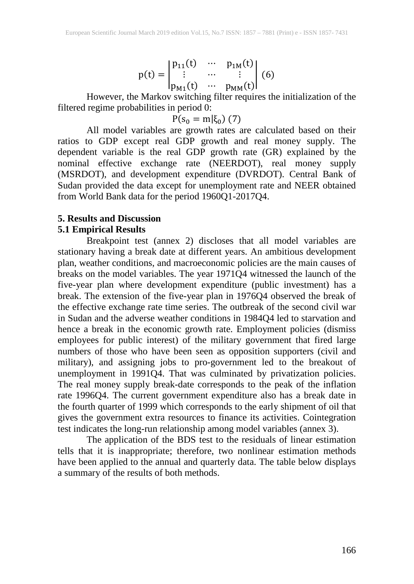$$
p(t) = \begin{vmatrix} p_{11}(t) & \cdots & p_{1M}(t) \\ \vdots & \cdots & \vdots \\ p_{M1}(t) & \cdots & p_{MM}(t) \end{vmatrix} (6)
$$

However, the Markov switching filter requires the initialization of the filtered regime probabilities in period 0:

$$
P(s_0 = m | \xi_0) (7)
$$

All model variables are growth rates are calculated based on their ratios to GDP except real GDP growth and real money supply. The dependent variable is the real GDP growth rate (GR) explained by the nominal effective exchange rate (NEERDOT), real money supply (MSRDOT), and development expenditure (DVRDOT). Central Bank of Sudan provided the data except for unemployment rate and NEER obtained from World Bank data for the period 1960Q1-2017Q4.

#### **5. Results and Discussion 5.1 Empirical Results**

Breakpoint test (annex 2) discloses that all model variables are stationary having a break date at different years. An ambitious development plan, weather conditions, and macroeconomic policies are the main causes of breaks on the model variables. The year 1971Q4 witnessed the launch of the five-year plan where development expenditure (public investment) has a break. The extension of the five-year plan in 1976Q4 observed the break of the effective exchange rate time series. The outbreak of the second civil war in Sudan and the adverse weather conditions in 1984Q4 led to starvation and hence a break in the economic growth rate. Employment policies (dismiss employees for public interest) of the military government that fired large numbers of those who have been seen as opposition supporters (civil and military), and assigning jobs to pro-government led to the breakout of unemployment in 1991Q4. That was culminated by privatization policies. The real money supply break-date corresponds to the peak of the inflation rate 1996Q4. The current government expenditure also has a break date in the fourth quarter of 1999 which corresponds to the early shipment of oil that gives the government extra resources to finance its activities. Cointegration test indicates the long-run relationship among model variables (annex 3).

The application of the BDS test to the residuals of linear estimation tells that it is inappropriate; therefore, two nonlinear estimation methods have been applied to the annual and quarterly data. The table below displays a summary of the results of both methods.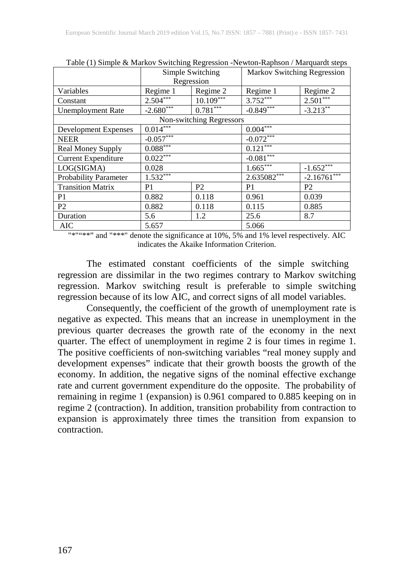|                              | Tuble (1) Dimple & Markov D Mitching Regression Tremton Ruphson / Marquardt Steps<br>Simple Switching |                          | <b>Markov Switching Regression</b> |                |  |
|------------------------------|-------------------------------------------------------------------------------------------------------|--------------------------|------------------------------------|----------------|--|
|                              | Regression                                                                                            |                          |                                    |                |  |
| Variables                    | Regime 1                                                                                              | Regime 2                 | Regime 1                           | Regime 2       |  |
| Constant                     | $2.504***$                                                                                            | $10.109***$              | $3.752***$                         | $2.501***$     |  |
| Unemployment Rate            | $-2.680$ ***                                                                                          | $0.781***$               | $-0.849***$                        | $-3.213***$    |  |
|                              |                                                                                                       | Non-switching Regressors |                                    |                |  |
| Development Expenses         | $0.014***$                                                                                            |                          | $0.004***$                         |                |  |
| <b>NEER</b>                  | $-0.057***$                                                                                           |                          | $-0.072***$                        |                |  |
| Real Money Supply            | $0.088***$                                                                                            |                          | $0.121***$                         |                |  |
| <b>Current Expenditure</b>   | $0.022***$                                                                                            |                          | $-0.081***$                        |                |  |
| LOG(SIGMA)                   | 0.028                                                                                                 |                          | $1.665***$                         | $-1.652***$    |  |
| <b>Probability Parameter</b> | $1.532***$                                                                                            |                          | $2.635082***$                      | $-2.16761***$  |  |
| <b>Transition Matrix</b>     | P1                                                                                                    | P <sub>2</sub>           | P1                                 | P <sub>2</sub> |  |
| P1                           | 0.882                                                                                                 | 0.118                    | 0.961                              | 0.039          |  |
| P <sub>2</sub>               | 0.882                                                                                                 | 0.118                    | 0.115                              | 0.885          |  |
| Duration                     | 5.6                                                                                                   | 1.2                      | 25.6                               | 8.7            |  |
| <b>AIC</b>                   | 5.657                                                                                                 |                          | 5.066                              |                |  |

Table (1) Simple & Markov Switching Regression -Newton-Raphson / Marquardt steps

"\*""\*\*" and "\*\*\*" denote the significance at 10%, 5% and 1% level respectively. AIC indicates the Akaike Information Criterion.

The estimated constant coefficients of the simple switching regression are dissimilar in the two regimes contrary to Markov switching regression. Markov switching result is preferable to simple switching regression because of its low AIC, and correct signs of all model variables.

Consequently, the coefficient of the growth of unemployment rate is negative as expected. This means that an increase in unemployment in the previous quarter decreases the growth rate of the economy in the next quarter. The effect of unemployment in regime 2 is four times in regime 1. The positive coefficients of non-switching variables "real money supply and development expenses" indicate that their growth boosts the growth of the economy. In addition, the negative signs of the nominal effective exchange rate and current government expenditure do the opposite. The probability of remaining in regime 1 (expansion) is 0.961 compared to 0.885 keeping on in regime 2 (contraction). In addition, transition probability from contraction to expansion is approximately three times the transition from expansion to contraction.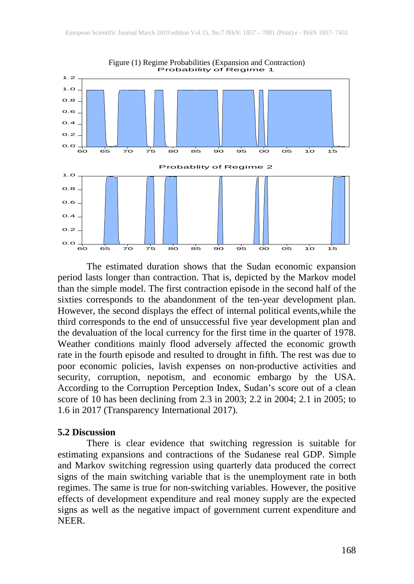

The estimated duration shows that the Sudan economic expansion period lasts longer than contraction. That is, depicted by the Markov model than the simple model. The first contraction episode in the second half of the sixties corresponds to the abandonment of the ten-year development plan. However, the second displays the effect of internal political events,while the third corresponds to the end of unsuccessful five year development plan and the devaluation of the local currency for the first time in the quarter of 1978. Weather conditions mainly flood adversely affected the economic growth rate in the fourth episode and resulted to drought in fifth. The rest was due to poor economic policies, lavish expenses on non-productive activities and security, corruption, nepotism, and economic embargo by the USA. According to the Corruption Perception Index, Sudan's score out of a clean score of 10 has been declining from 2.3 in 2003; 2.2 in 2004; 2.1 in 2005; to 1.6 in 2017 (Transparency International 2017).

#### **5.2 Discussion**

There is clear evidence that switching regression is suitable for estimating expansions and contractions of the Sudanese real GDP. Simple and Markov switching regression using quarterly data produced the correct signs of the main switching variable that is the unemployment rate in both regimes. The same is true for non-switching variables. However, the positive effects of development expenditure and real money supply are the expected signs as well as the negative impact of government current expenditure and NEER.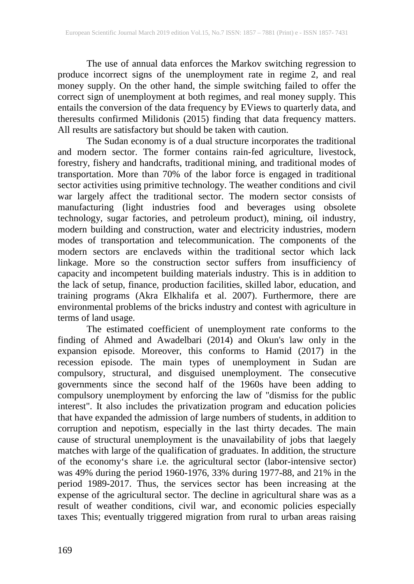The use of annual data enforces the Markov switching regression to produce incorrect signs of the unemployment rate in regime 2, and real money supply. On the other hand, the simple switching failed to offer the correct sign of unemployment at both regimes, and real money supply. This entails the conversion of the data frequency by EViews to quarterly data, and theresults confirmed Milidonis (2015) finding that data frequency matters. All results are satisfactory but should be taken with caution.

The Sudan economy is of a dual structure incorporates the traditional and modern sector. The former contains rain-fed agriculture, livestock, forestry, fishery and handcrafts, traditional mining, and traditional modes of transportation. More than 70% of the labor force is engaged in traditional sector activities using primitive technology. The weather conditions and civil war largely affect the traditional sector. The modern sector consists of manufacturing (light industries food and beverages using obsolete technology, sugar factories, and petroleum product), mining, oil industry, modern building and construction, water and electricity industries, modern modes of transportation and telecommunication. The components of the modern sectors are enclaveds within the traditional sector which lack linkage. More so the construction sector suffers from insufficiency of capacity and incompetent building materials industry. This is in addition to the lack of setup, finance, production facilities, skilled labor, education, and training programs (Akra Elkhalifa et al. 2007). Furthermore, there are environmental problems of the bricks industry and contest with agriculture in terms of land usage.

The estimated coefficient of unemployment rate conforms to the finding of Ahmed and Awadelbari (2014) and Okun's law only in the expansion episode. Moreover, this conforms to Hamid (2017) in the recession episode. The main types of unemployment in Sudan are compulsory, structural, and disguised unemployment. The consecutive governments since the second half of the 1960s have been adding to compulsory unemployment by enforcing the law of "dismiss for the public interest". It also includes the privatization program and education policies that have expanded the admission of large numbers of students, in addition to corruption and nepotism, especially in the last thirty decades. The main cause of structural unemployment is the unavailability of jobs that laegely matches with large of the qualification of graduates. In addition, the structure of the economy's share i.e. the agricultural sector (labor-intensive sector) was 49% during the period 1960-1976, 33% during 1977-88, and 21% in the period 1989-2017. Thus, the services sector has been increasing at the expense of the agricultural sector. The decline in agricultural share was as a result of weather conditions, civil war, and economic policies especially taxes This; eventually triggered migration from rural to urban areas raising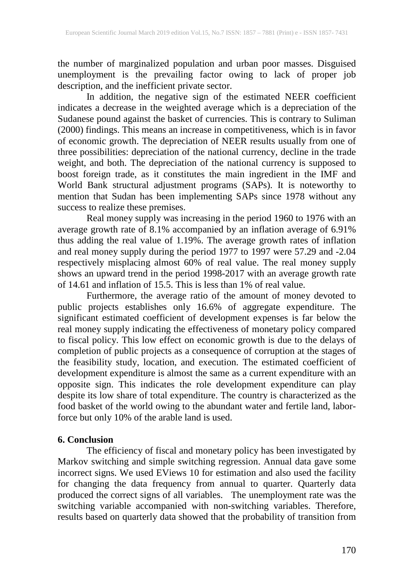the number of marginalized population and urban poor masses. Disguised unemployment is the prevailing factor owing to lack of proper job description, and the inefficient private sector.

In addition, the negative sign of the estimated NEER coefficient indicates a decrease in the weighted average which is a depreciation of the Sudanese pound against the basket of currencies. This is contrary to Suliman (2000) findings. This means an increase in competitiveness, which is in favor of economic growth. The depreciation of NEER results usually from one of three possibilities: depreciation of the national currency, decline in the trade weight, and both. The depreciation of the national currency is supposed to boost foreign trade, as it constitutes the main ingredient in the IMF and World Bank structural adjustment programs (SAPs). It is noteworthy to mention that Sudan has been implementing SAPs since 1978 without any success to realize these premises.

Real money supply was increasing in the period 1960 to 1976 with an average growth rate of 8.1% accompanied by an inflation average of 6.91% thus adding the real value of 1.19%. The average growth rates of inflation and real money supply during the period 1977 to 1997 were 57.29 and -2.04 respectively misplacing almost 60% of real value. The real money supply shows an upward trend in the period 1998-2017 with an average growth rate of 14.61 and inflation of 15.5. This is less than 1% of real value.

Furthermore, the average ratio of the amount of money devoted to public projects establishes only 16.6% of aggregate expenditure. The significant estimated coefficient of development expenses is far below the real money supply indicating the effectiveness of monetary policy compared to fiscal policy. This low effect on economic growth is due to the delays of completion of public projects as a consequence of corruption at the stages of the feasibility study, location, and execution. The estimated coefficient of development expenditure is almost the same as a current expenditure with an opposite sign. This indicates the role development expenditure can play despite its low share of total expenditure. The country is characterized as the food basket of the world owing to the abundant water and fertile land, laborforce but only 10% of the arable land is used.

# **6. Conclusion**

The efficiency of fiscal and monetary policy has been investigated by Markov switching and simple switching regression. Annual data gave some incorrect signs. We used EViews 10 for estimation and also used the facility for changing the data frequency from annual to quarter. Quarterly data produced the correct signs of all variables. The unemployment rate was the switching variable accompanied with non-switching variables. Therefore, results based on quarterly data showed that the probability of transition from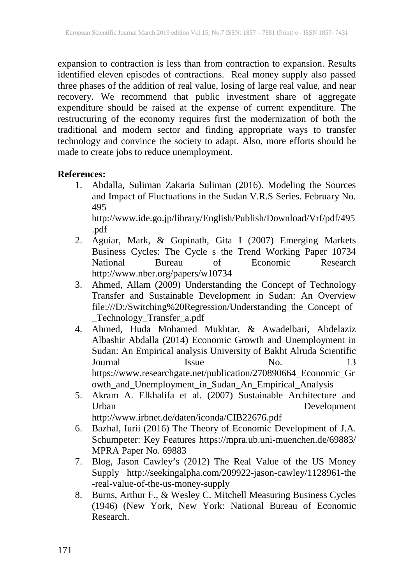expansion to contraction is less than from contraction to expansion. Results identified eleven episodes of contractions. Real money supply also passed three phases of the addition of real value, losing of large real value, and near recovery. We recommend that public investment share of aggregate expenditure should be raised at the expense of current expenditure. The restructuring of the economy requires first the modernization of both the traditional and modern sector and finding appropriate ways to transfer technology and convince the society to adapt. Also, more efforts should be made to create jobs to reduce unemployment.

### **References:**

1. Abdalla, Suliman Zakaria Suliman (2016). Modeling the Sources and Impact of Fluctuations in the Sudan V.R.S Series. February No. 495

http://www.ide.go.jp/library/English/Publish/Download/Vrf/pdf/495 .pdf

- 2. Aguiar, Mark, & Gopinath, Gita I (2007) Emerging Markets Business Cycles: The Cycle s the Trend Working Paper 10734 National Bureau of Economic Research http://www.nber.org/papers/w10734
- 3. Ahmed, Allam (2009) Understanding the Concept of Technology Transfer and Sustainable Development in Sudan: An Overview file:///D:/Switching%20Regression/Understanding\_the\_Concept\_of \_Technology\_Transfer\_a.pdf
- 4. Ahmed, Huda Mohamed Mukhtar, & Awadelbari, Abdelaziz Albashir Abdalla (2014) Economic Growth and Unemployment in Sudan: An Empirical analysis University of Bakht Alruda Scientific Journal Issue No. 13 https://www.researchgate.net/publication/270890664\_Economic\_Gr owth\_and\_Unemployment\_in\_Sudan\_An\_Empirical\_Analysis
- 5. Akram A. Elkhalifa et al. (2007) Sustainable Architecture and Urban Development http://www.irbnet.de/daten/iconda/CIB22676.pdf
- 6. Bazhal, Iurii (2016) The Theory of Economic Development of J.A. Schumpeter: Key Features https://mpra.ub.uni-muenchen.de/69883/ MPRA Paper No. 69883
- 7. Blog, Jason Cawley's (2012) The Real Value of the US Money Supply http://seekingalpha.com/209922-jason-cawley/1128961-the -real-value-of-the-us-money-supply
- 8. Burns, Arthur F., & Wesley C. Mitchell Measuring Business Cycles (1946) (New York, New York: National Bureau of Economic Research.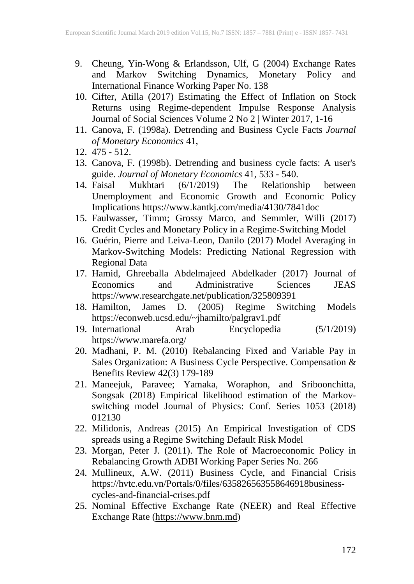- 9. Cheung, Yin-Wong & Erlandsson, Ulf, G (2004) Exchange Rates and Markov Switching Dynamics, Monetary Policy and International Finance Working Paper No. 138
- 10. Cifter, Atilla (2017) Estimating the Effect of Inflation on Stock Returns using Regime-dependent Impulse Response Analysis Journal of Social Sciences Volume 2 No 2 | Winter 2017, 1-16
- 11. Canova, F. (1998a). Detrending and Business Cycle Facts *Journal of Monetary Economics* 41,
- 12. 475 512.
- 13. Canova, F. (1998b). Detrending and business cycle facts: A user's guide. *Journal of Monetary Economics* 41, 533 - 540.
- 14. Faisal Mukhtari (6/1/2019) The Relationship between Unemployment and Economic Growth and Economic Policy Implications https://www.kantkj.com/media/4130/7841doc
- 15. Faulwasser, Timm; Grossy Marco, and Semmler, Willi (2017) Credit Cycles and Monetary Policy in a Regime-Switching Model
- 16. Guérin, Pierre and Leiva-Leon, Danilo (2017) Model Averaging in Markov-Switching Models: Predicting National Regression with Regional Data
- 17. Hamid, Ghreeballa Abdelmajeed Abdelkader (2017) Journal of Economics and Administrative Sciences JEAS https://www.researchgate.net/publication/325809391
- 18. Hamilton, James D. (2005) Regime Switching Models https://econweb.ucsd.edu/~jhamilto/palgrav1.pdf
- 19. International Arab Encyclopedia (5/1/2019) https://www.marefa.org/
- 20. Madhani, P. M. (2010) Rebalancing Fixed and Variable Pay in Sales Organization: A Business Cycle Perspective. Compensation & Benefits Review 42(3) 179-189
- 21. Maneejuk, Paravee; Yamaka, Woraphon, and Sriboonchitta, Songsak (2018) Empirical likelihood estimation of the Markovswitching model Journal of Physics: Conf. Series 1053 (2018) 012130
- 22. Milidonis, Andreas (2015) An Empirical Investigation of CDS spreads using a Regime Switching Default Risk Model
- 23. Morgan, Peter J. (2011). The Role of Macroeconomic Policy in Rebalancing Growth ADBI Working Paper Series No. 266
- 24. Mullineux, A.W. (2011) Business Cycle, and Financial Crisis https://hvtc.edu.vn/Portals/0/files/635826563558646918businesscycles-and-financial-crises.pdf
- 25. Nominal Effective Exchange Rate (NEER) and Real Effective Exchange Rate (https://www.bnm.md)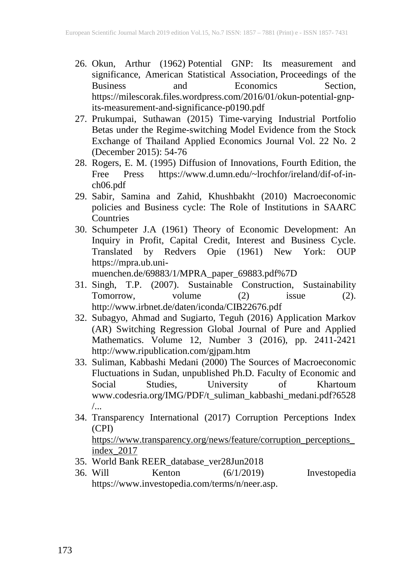- 26. Okun, Arthur (1962) Potential GNP: Its measurement and significance, American Statistical Association, Proceedings of the Business and Economics Section, https://milescorak.files.wordpress.com/2016/01/okun-potential-gnpits-measurement-and-significance-p0190.pdf
- 27. Prukumpai, Suthawan (2015) Time-varying Industrial Portfolio Betas under the Regime-switching Model Evidence from the Stock Exchange of Thailand Applied Economics Journal Vol. 22 No. 2 (December 2015): 54-76
- 28. Rogers, E. M. (1995) Diffusion of Innovations, Fourth Edition, the Free Press https://www.d.umn.edu/~lrochfor/ireland/dif-of-inch06.pdf
- 29. Sabir, Samina and Zahid, Khushbakht (2010) Macroeconomic policies and Business cycle: The Role of Institutions in SAARC **Countries**
- 30. Schumpeter J.A (1961) Theory of Economic Development: An Inquiry in Profit, Capital Credit, Interest and Business Cycle. Translated by Redvers Opie (1961) New York: OUP https://mpra.ub.uni-

muenchen.de/69883/1/MPRA\_paper\_69883.pdf%7D

- 31. Singh, T.P. (2007). Sustainable Construction, Sustainability Tomorrow, volume (2) issue (2). http://www.irbnet.de/daten/iconda/CIB22676.pdf
- 32. Subagyo, Ahmad and Sugiarto, Teguh (2016) Application Markov (AR) Switching Regression Global Journal of Pure and Applied Mathematics. Volume 12, Number 3 (2016), pp. 2411-2421 http://www.ripublication.com/gjpam.htm
- 33. Suliman, Kabbashi Medani (2000) The Sources of Macroeconomic Fluctuations in Sudan, unpublished Ph.D. Faculty of Economic and Social Studies, University of Khartoum www.codesria.org/IMG/PDF/t\_suliman\_kabbashi\_medani.pdf?6528 /...
- 34. Transparency International (2017) Corruption Perceptions Index (CPI)

https://www.transparency.org/news/feature/corruption\_perceptions\_ index\_2017

- 35. World Bank REER\_database\_ver28Jun2018
- 36. Will Kenton (6/1/2019) Investopedia https://www.investopedia.com/terms/n/neer.asp.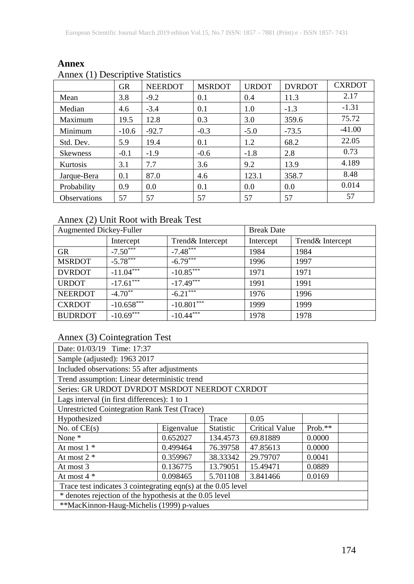| $\sim$ $\sim$       | <b>GR</b> | <b>NEERDOT</b> | <b>MSRDOT</b> | <b>URDOT</b> | <b>DVRDOT</b> | <b>CXRDOT</b> |
|---------------------|-----------|----------------|---------------|--------------|---------------|---------------|
| Mean                | 3.8       | $-9.2$         | 0.1           | 0.4          | 11.3          | 2.17          |
| Median              | 4.6       | $-3.4$         | 0.1           | 1.0          | $-1.3$        | $-1.31$       |
| Maximum             | 19.5      | 12.8           | 0.3           | 3.0          | 359.6         | 75.72         |
| Minimum             | $-10.6$   | $-92.7$        | $-0.3$        | $-5.0$       | $-73.5$       | $-41.00$      |
| Std. Dev.           | 5.9       | 19.4           | 0.1           | 1.2          | 68.2          | 22.05         |
| <b>Skewness</b>     | $-0.1$    | $-1.9$         | $-0.6$        | $-1.8$       | 2.8           | 0.73          |
| Kurtosis            | 3.1       | 7.7            | 3.6           | 9.2          | 13.9          | 4.189         |
| Jarque-Bera         | 0.1       | 87.0           | 4.6           | 123.1        | 358.7         | 8.48          |
| Probability         | 0.9       | 0.0            | 0.1           | 0.0          | 0.0           | 0.014         |
| <b>Observations</b> | 57        | 57             | 57            | 57           | 57            | 57            |

### **Annex** Annex (1) Descriptive Statistics

# Annex (2) Unit Root with Break Test

| <b>Augmented Dickey-Fuller</b> |              | <b>Break Date</b> |           |                   |
|--------------------------------|--------------|-------------------|-----------|-------------------|
|                                | Intercept    | Trend& Intercept  | Intercept | Trend & Intercept |
| GR                             | $-7.50***$   | $-7.48***$        | 1984      | 1984              |
| <b>MSRDOT</b>                  | $-5.78***$   | $-6.79***$        | 1996      | 1997              |
| <b>DVRDOT</b>                  | $-11.04***$  | $-10.85***$       | 1971      | 1971              |
| <b>URDOT</b>                   | $-17.61***$  | $-17.49***$       | 1991      | 1991              |
| <b>NEERDOT</b>                 | $-4.70**$    | $-6.21***$        | 1976      | 1996              |
| <b>CXRDOT</b>                  | $-10.658***$ | $-10.801***$      | 1999      | 1999              |
| <b>BUDRDOT</b>                 | $-10.69***$  | $-10.44***$       | 1978      | 1978              |

# Annex (3) Cointegration Test

| Date: 01/03/19 Time: 17:37                                      |                                              |                  |                |           |  |  |  |
|-----------------------------------------------------------------|----------------------------------------------|------------------|----------------|-----------|--|--|--|
| Sample (adjusted): 1963 2017                                    |                                              |                  |                |           |  |  |  |
| Included observations: 55 after adjustments                     |                                              |                  |                |           |  |  |  |
|                                                                 | Trend assumption: Linear deterministic trend |                  |                |           |  |  |  |
| Series: GR URDOT DVRDOT MSRDOT NEERDOT CXRDOT                   |                                              |                  |                |           |  |  |  |
| Lags interval (in first differences): 1 to 1                    |                                              |                  |                |           |  |  |  |
| <b>Unrestricted Cointegration Rank Test (Trace)</b>             |                                              |                  |                |           |  |  |  |
| Hypothesized                                                    |                                              | Trace            | 0.05           |           |  |  |  |
| No. of $CE(s)$                                                  | Eigenvalue                                   | <b>Statistic</b> | Critical Value | $Prob.**$ |  |  |  |
| None *                                                          | 0.652027                                     | 134.4573         | 69.81889       | 0.0000    |  |  |  |
| At most $1 *$                                                   | 0.499464                                     | 76.39758         | 47.85613       | 0.0000    |  |  |  |
| At most $2 *$                                                   | 0.359967                                     | 38.33342         | 29.79707       | 0.0041    |  |  |  |
| At most 3                                                       | 0.136775                                     | 13.79051         | 15.49471       | 0.0889    |  |  |  |
| 5.701108<br>At most $4 *$<br>0.098465<br>3.841466<br>0.0169     |                                              |                  |                |           |  |  |  |
| Trace test indicates 3 cointegrating eqn(s) at the $0.05$ level |                                              |                  |                |           |  |  |  |
| * denotes rejection of the hypothesis at the 0.05 level         |                                              |                  |                |           |  |  |  |
| **MacKinnon-Haug-Michelis (1999) p-values                       |                                              |                  |                |           |  |  |  |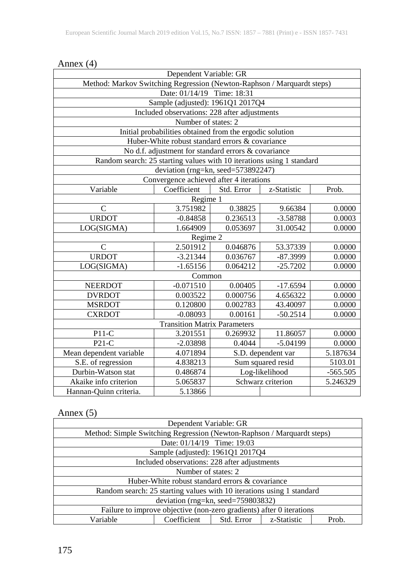| Dependent Variable: GR                                                 |                                                          |                                  |                |            |  |  |
|------------------------------------------------------------------------|----------------------------------------------------------|----------------------------------|----------------|------------|--|--|
| Method: Markov Switching Regression (Newton-Raphson / Marquardt steps) |                                                          |                                  |                |            |  |  |
|                                                                        | Date: 01/14/19 Time: 18:31                               |                                  |                |            |  |  |
|                                                                        | Sample (adjusted): 1961Q1 2017Q4                         |                                  |                |            |  |  |
|                                                                        | Included observations: 228 after adjustments             |                                  |                |            |  |  |
|                                                                        | Number of states: 2                                      |                                  |                |            |  |  |
|                                                                        | Initial probabilities obtained from the ergodic solution |                                  |                |            |  |  |
|                                                                        | Huber-White robust standard errors & covariance          |                                  |                |            |  |  |
|                                                                        | No d.f. adjustment for standard errors & covariance      |                                  |                |            |  |  |
| Random search: 25 starting values with 10 iterations using 1 standard  |                                                          |                                  |                |            |  |  |
|                                                                        | deviation (rng=kn, seed=573892247)                       |                                  |                |            |  |  |
|                                                                        | Convergence achieved after 4 iterations                  |                                  |                |            |  |  |
| Variable                                                               | Coefficient                                              | Std. Error                       | z-Statistic    | Prob.      |  |  |
|                                                                        | Regime 1                                                 |                                  |                |            |  |  |
| $\mathcal{C}$                                                          | 3.751982                                                 | 0.38825                          | 9.66384        | 0.0000     |  |  |
| <b>URDOT</b>                                                           | $-0.84858$                                               | 0.236513                         | $-3.58788$     | 0.0003     |  |  |
| LOG(SIGMA)                                                             | 1.664909                                                 | 0.053697                         | 31.00542       | 0.0000     |  |  |
| Regime 2                                                               |                                                          |                                  |                |            |  |  |
| $\mathcal{C}$                                                          | 2.501912                                                 | 0.046876                         | 53.37339       | 0.0000     |  |  |
| <b>URDOT</b>                                                           | $-3.21344$                                               | 0.036767<br>$-87.3999$<br>0.0000 |                |            |  |  |
| LOG(SIGMA)                                                             | $-1.65156$                                               | 0.064212<br>$-25.7202$<br>0.0000 |                |            |  |  |
|                                                                        | Common                                                   |                                  |                |            |  |  |
| <b>NEERDOT</b>                                                         | $-0.071510$                                              | 0.00405                          | $-17.6594$     | 0.0000     |  |  |
| <b>DVRDOT</b>                                                          | 0.003522                                                 | 0.000756                         | 4.656322       | 0.0000     |  |  |
| <b>MSRDOT</b>                                                          | 0.120800                                                 | 0.002783                         | 43.40097       | 0.0000     |  |  |
| <b>CXRDOT</b>                                                          | $-0.08093$                                               | 0.00161                          | $-50.2514$     | 0.0000     |  |  |
|                                                                        | <b>Transition Matrix Parameters</b>                      |                                  |                |            |  |  |
| $P11-C$                                                                | 3.201551                                                 | 0.269932                         | 11.86057       | 0.0000     |  |  |
| $P21-C$                                                                | $-2.03898$                                               | 0.4044                           | $-5.04199$     | 0.0000     |  |  |
| Mean dependent variable                                                | S.D. dependent var<br>5.187634<br>4.071894               |                                  |                |            |  |  |
| S.E. of regression                                                     | 4.838213                                                 | Sum squared resid<br>5103.01     |                |            |  |  |
| Durbin-Watson stat                                                     | 0.486874                                                 |                                  | Log-likelihood | $-565.505$ |  |  |
| Akaike info criterion                                                  | 5.065837                                                 | Schwarz criterion<br>5.246329    |                |            |  |  |
| Hannan-Quinn criteria.                                                 | 5.13866                                                  |                                  |                |            |  |  |

#### Annex (4)

# Annex  $(5)$

| Dependent Variable: GR                                                |                                                                        |  |  |  |  |
|-----------------------------------------------------------------------|------------------------------------------------------------------------|--|--|--|--|
|                                                                       | Method: Simple Switching Regression (Newton-Raphson / Marquardt steps) |  |  |  |  |
|                                                                       | Date: 01/14/19 Time: 19:03                                             |  |  |  |  |
|                                                                       | Sample (adjusted): 1961Q1 2017Q4                                       |  |  |  |  |
|                                                                       | Included observations: 228 after adjustments                           |  |  |  |  |
| Number of states: 2                                                   |                                                                        |  |  |  |  |
| Huber-White robust standard errors & covariance                       |                                                                        |  |  |  |  |
| Random search: 25 starting values with 10 iterations using 1 standard |                                                                        |  |  |  |  |
| deviation (rng=kn, seed=759803832)                                    |                                                                        |  |  |  |  |
| Failure to improve objective (non-zero gradients) after 0 iterations  |                                                                        |  |  |  |  |
| Variable<br>Coefficient<br>Std. Error<br>z-Statistic<br>Prob.         |                                                                        |  |  |  |  |